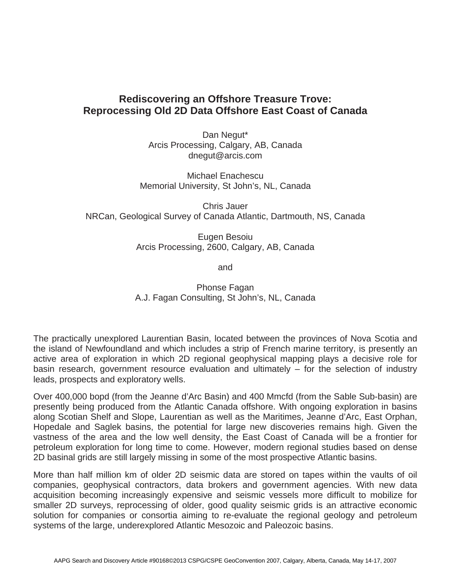## **Rediscovering an Offshore Treasure Trove: Reprocessing Old 2D Data Offshore East Coast of Canada**

Dan Negut\* Arcis Processing, Calgary, AB, Canada dnegut@arcis.com

Michael Enachescu Memorial University, St John's, NL, Canada

Chris Jauer NRCan, Geological Survey of Canada Atlantic, Dartmouth, NS, Canada

> Eugen Besoiu Arcis Processing, 2600, Calgary, AB, Canada

> > and

Phonse Fagan A.J. Fagan Consulting, St John's, NL, Canada

The practically unexplored Laurentian Basin, located between the provinces of Nova Scotia and the island of Newfoundland and which includes a strip of French marine territory, is presently an active area of exploration in which 2D regional geophysical mapping plays a decisive role for basin research, government resource evaluation and ultimately – for the selection of industry leads, prospects and exploratory wells.

Over 400,000 bopd (from the Jeanne d'Arc Basin) and 400 Mmcfd (from the Sable Sub-basin) are presently being produced from the Atlantic Canada offshore. With ongoing exploration in basins along Scotian Shelf and Slope, Laurentian as well as the Maritimes, Jeanne d'Arc, East Orphan, Hopedale and Saglek basins, the potential for large new discoveries remains high. Given the vastness of the area and the low well density, the East Coast of Canada will be a frontier for petroleum exploration for long time to come. However, modern regional studies based on dense 2D basinal grids are still largely missing in some of the most prospective Atlantic basins.

More than half million km of older 2D seismic data are stored on tapes within the vaults of oil companies, geophysical contractors, data brokers and government agencies. With new data acquisition becoming increasingly expensive and seismic vessels more difficult to mobilize for smaller 2D surveys, reprocessing of older, good quality seismic grids is an attractive economic solution for companies or consortia aiming to re-evaluate the regional geology and petroleum systems of the large, underexplored Atlantic Mesozoic and Paleozoic basins.